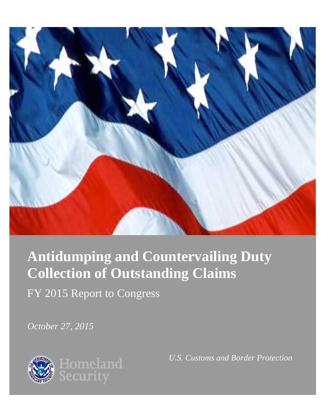

# **Antidumping and Countervailing Duty Collection of Outstanding Claims**

FY 2015 Report to Congress

*October 27, 2015*



*U.S. Customs and Border Protection*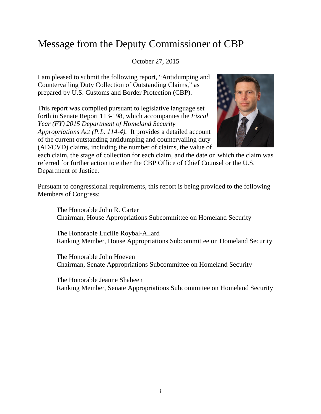## Message from the Deputy Commissioner of CBP

October 27, 2015

I am pleased to submit the following report, "Antidumping and Countervailing Duty Collection of Outstanding Claims," as prepared by U.S. Customs and Border Protection (CBP).

This report was compiled pursuant to legislative language set forth in Senate Report 113-198, which accompanies the *Fiscal Year (FY) 2015 Department of Homeland Security Appropriations Act (P.L. 114-4).* It provides a detailed account of the current outstanding antidumping and countervailing duty (AD/CVD) claims, including the number of claims, the value of



each claim, the stage of collection for each claim, and the date on which the claim was referred for further action to either the CBP Office of Chief Counsel or the U.S. Department of Justice.

Pursuant to congressional requirements, this report is being provided to the following Members of Congress:

The Honorable John R. Carter Chairman, House Appropriations Subcommittee on Homeland Security

The Honorable Lucille Roybal-Allard Ranking Member, House Appropriations Subcommittee on Homeland Security

The Honorable John Hoeven Chairman, Senate Appropriations Subcommittee on Homeland Security

The Honorable Jeanne Shaheen Ranking Member, Senate Appropriations Subcommittee on Homeland Security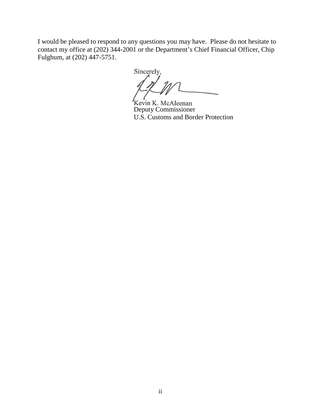I would be pleased to respond to any questions you may have. Please do not hesitate to contact my office at (202) 344-2001 or the Department's Chief Financial Officer, Chip Fulghum, at (202) 447-5751.

Sincerely,

Kevin K. McAleenan<br>Deputy Commissioner U.S. Customs and Border Protection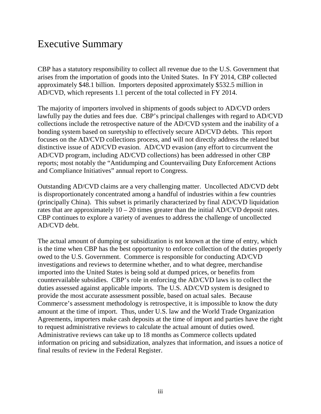### Executive Summary

CBP has a statutory responsibility to collect all revenue due to the U.S. Government that arises from the importation of goods into the United States. In FY 2014, CBP collected approximately \$48.1 billion. Importers deposited approximately \$532.5 million in AD/CVD, which represents 1.1 percent of the total collected in FY 2014.

The majority of importers involved in shipments of goods subject to AD/CVD orders lawfully pay the duties and fees due. CBP's principal challenges with regard to AD/CVD collections include the retrospective nature of the AD/CVD system and the inability of a bonding system based on suretyship to effectively secure AD/CVD debts. This report focuses on the AD/CVD collections process, and will not directly address the related but distinctive issue of AD/CVD evasion. AD/CVD evasion (any effort to circumvent the AD/CVD program, including AD/CVD collections) has been addressed in other CBP reports; most notably the "Antidumping and Countervailing Duty Enforcement Actions and Compliance Initiatives" annual report to Congress.

Outstanding AD/CVD claims are a very challenging matter. Uncollected AD/CVD debt is disproportionately concentrated among a handful of industries within a few countries (principally China). This subset is primarily characterized by final AD/CVD liquidation rates that are approximately  $10 - 20$  times greater than the initial AD/CVD deposit rates. CBP continues to explore a variety of avenues to address the challenge of uncollected AD/CVD debt.

The actual amount of dumping or subsidization is not known at the time of entry, which is the time when CBP has the best opportunity to enforce collection of the duties properly owed to the U.S. Government. Commerce is responsible for conducting AD/CVD investigations and reviews to determine whether, and to what degree, merchandise imported into the United States is being sold at dumped prices, or benefits from countervailable subsidies. CBP's role in enforcing the AD/CVD laws is to collect the duties assessed against applicable imports. The U.S. AD/CVD system is designed to provide the most accurate assessment possible, based on actual sales. Because Commerce's assessment methodology is retrospective, it is impossible to know the duty amount at the time of import. Thus, under U.S. law and the World Trade Organization Agreements, importers make cash deposits at the time of import and parties have the right to request administrative reviews to calculate the actual amount of duties owed. Administrative reviews can take up to 18 months as Commerce collects updated information on pricing and subsidization, analyzes that information, and issues a notice of final results of review in the Federal Register.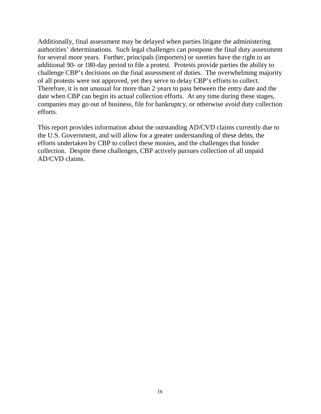Additionally, final assessment may be delayed when parties litigate the administering authorities' determinations. Such legal challenges can postpone the final duty assessment for several more years. Further, principals (importers) or sureties have the right to an additional 90- or 180-day period to file a protest. Protests provide parties the ability to challenge CBP's decisions on the final assessment of duties. The overwhelming majority of all protests were not approved, yet they serve to delay CBP's efforts to collect. Therefore, it is not unusual for more than 2 years to pass between the entry date and the date when CBP can begin its actual collection efforts. At any time during these stages, companies may go out of business, file for bankruptcy, or otherwise avoid duty collection efforts.

This report provides information about the outstanding AD/CVD claims currently due to the U.S. Government, and will allow for a greater understanding of these debts, the efforts undertaken by CBP to collect these monies, and the challenges that hinder collection. Despite these challenges, CBP actively pursues collection of all unpaid AD/CVD claims.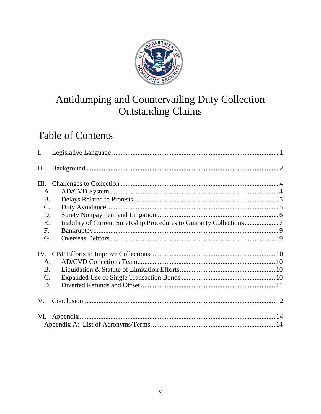

# Antidumping and Countervailing Duty Collection **Outstanding Claims**

# **Table of Contents**

| $\mathbf{I}$ .  |                                                                    |  |
|-----------------|--------------------------------------------------------------------|--|
| II.             |                                                                    |  |
| III.            |                                                                    |  |
| A.              |                                                                    |  |
| <b>B.</b>       |                                                                    |  |
| $\mathcal{C}$ . |                                                                    |  |
| D.              |                                                                    |  |
| E.              | Inability of Current Suretyship Procedures to Guaranty Collections |  |
| F.              |                                                                    |  |
| G.              |                                                                    |  |
|                 |                                                                    |  |
| Α.              |                                                                    |  |
| <b>B.</b>       |                                                                    |  |
| $\mathbf{C}$ .  |                                                                    |  |
| D.              |                                                                    |  |
| V.              |                                                                    |  |
| VI.             |                                                                    |  |
|                 |                                                                    |  |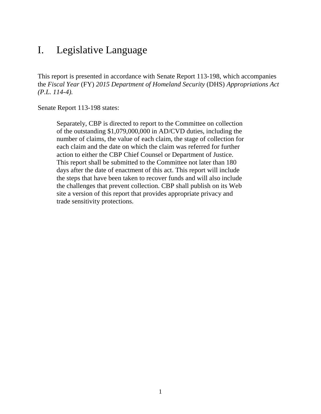### I. Legislative Language

This report is presented in accordance with Senate Report 113-198, which accompanies the *Fiscal Year* (FY) *2015 Department of Homeland Security* (DHS) *Appropriations Act (P.L. 114-4).*

Senate Report 113-198 states:

Separately, CBP is directed to report to the Committee on collection of the outstanding \$1,079,000,000 in AD/CVD duties, including the number of claims, the value of each claim, the stage of collection for each claim and the date on which the claim was referred for further action to either the CBP Chief Counsel or Department of Justice. This report shall be submitted to the Committee not later than 180 days after the date of enactment of this act. This report will include the steps that have been taken to recover funds and will also include the challenges that prevent collection. CBP shall publish on its Web site a version of this report that provides appropriate privacy and trade sensitivity protections.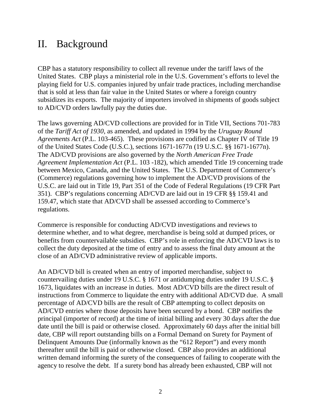### II. Background

CBP has a statutory responsibility to collect all revenue under the tariff laws of the United States. CBP plays a ministerial role in the U.S. Government's efforts to level the playing field for U.S. companies injured by unfair trade practices, including merchandise that is sold at less than fair value in the United States or where a foreign country subsidizes its exports. The majority of importers involved in shipments of goods subject to AD/CVD orders lawfully pay the duties due.

The laws governing AD/CVD collections are provided for in Title VII, Sections 701-783 of the *Tariff Act of 1930*, as amended, and updated in 1994 by the *Uruguay Round Agreements Act* (P.L. 103-465). These provisions are codified as Chapter IV of Title 19 of the United States Code (U.S.C.), sections 1671-1677n (19 U.S.C. §§ 1671-1677n). The AD/CVD provisions are also governed by the *North American Free Trade Agreement Implementation Act* (P.L. 103 -182), which amended Title 19 concerning trade between Mexico, Canada, and the United States. The U.S. Department of Commerce's (Commerce) regulations governing how to implement the AD/CVD provisions of the U.S.C. are laid out in Title 19, Part 351 of the Code of Federal Regulations (19 CFR Part 351). CBP's regulations concerning AD/CVD are laid out in 19 CFR §§ 159.41 and 159.47, which state that AD/CVD shall be assessed according to Commerce's regulations.

Commerce is responsible for conducting AD/CVD investigations and reviews to determine whether, and to what degree, merchandise is being sold at dumped prices, or benefits from countervailable subsidies. CBP's role in enforcing the AD/CVD laws is to collect the duty deposited at the time of entry and to assess the final duty amount at the close of an AD/CVD administrative review of applicable imports.

An AD/CVD bill is created when an entry of imported merchandise, subject to countervailing duties under 19 U.S.C. § 1671 or antidumping duties under 19 U.S.C. § 1673, liquidates with an increase in duties. Most AD/CVD bills are the direct result of instructions from Commerce to liquidate the entry with additional AD/CVD due. A small percentage of AD/CVD bills are the result of CBP attempting to collect deposits on AD/CVD entries where those deposits have been secured by a bond. CBP notifies the principal (importer of record) at the time of initial billing and every 30 days after the due date until the bill is paid or otherwise closed. Approximately 60 days after the initial bill date, CBP will report outstanding bills on a Formal Demand on Surety for Payment of Delinquent Amounts Due (informally known as the "612 Report") and every month thereafter until the bill is paid or otherwise closed. CBP also provides an additional written demand informing the surety of the consequences of failing to cooperate with the agency to resolve the debt. If a surety bond has already been exhausted, CBP will not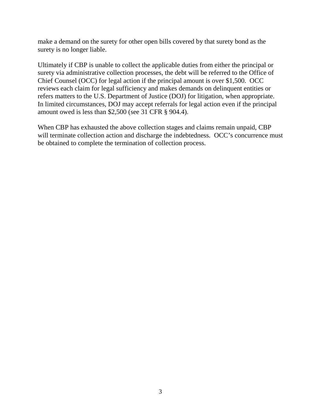make a demand on the surety for other open bills covered by that surety bond as the surety is no longer liable.

Ultimately if CBP is unable to collect the applicable duties from either the principal or surety via administrative collection processes, the debt will be referred to the Office of Chief Counsel (OCC) for legal action if the principal amount is over \$1,500. OCC reviews each claim for legal sufficiency and makes demands on delinquent entities or refers matters to the U.S. Department of Justice (DOJ) for litigation, when appropriate. In limited circumstances, DOJ may accept referrals for legal action even if the principal amount owed is less than \$2,500 (see 31 CFR § 904.4).

When CBP has exhausted the above collection stages and claims remain unpaid, CBP will terminate collection action and discharge the indebtedness. OCC's concurrence must be obtained to complete the termination of collection process.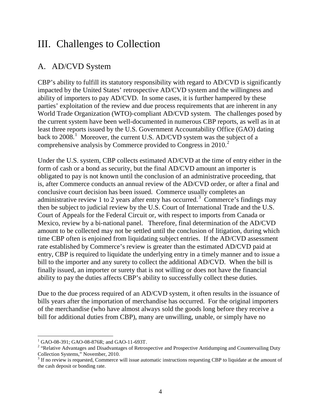### III. Challenges to Collection

#### A. AD/CVD System

CBP's ability to fulfill its statutory responsibility with regard to AD/CVD is significantly impacted by the United States' retrospective AD/CVD system and the willingness and ability of importers to pay AD/CVD. In some cases, it is further hampered by these parties' exploitation of the review and due process requirements that are inherent in any World Trade Organization (WTO)-compliant AD/CVD system. The challenges posed by the current system have been well-documented in numerous CBP reports, as well as in at least three reports issued by the U.S. Government Accountability Office (GAO) dating back to  $2008$ .<sup>[1](#page-9-0)</sup> Moreover, the current U.S. AD/CVD system was the subject of a comprehensive analysis by Commerce provided to Congress in [2](#page-9-1)010. $2$ 

Under the U.S. system, CBP collects estimated AD/CVD at the time of entry either in the form of cash or a bond as security, but the final AD/CVD amount an importer is obligated to pay is not known until the conclusion of an administrative proceeding, that is, after Commerce conducts an annual review of the AD/CVD order, or after a final and conclusive court decision has been issued. Commerce usually completes an administrative review 1 to 2 years after entry has occurred.<sup>[3](#page-9-2)</sup> Commerce's findings may then be subject to judicial review by the U.S. Court of International Trade and the U.S. Court of Appeals for the Federal Circuit or, with respect to imports from Canada or Mexico, review by a bi-national panel. Therefore, final determination of the AD/CVD amount to be collected may not be settled until the conclusion of litigation, during which time CBP often is enjoined from liquidating subject entries. If the AD/CVD assessment rate established by Commerce's review is greater than the estimated AD/CVD paid at entry, CBP is required to liquidate the underlying entry in a timely manner and to issue a bill to the importer and any surety to collect the additional AD/CVD. When the bill is finally issued, an importer or surety that is not willing or does not have the financial ability to pay the duties affects CBP's ability to successfully collect these duties.

Due to the due process required of an AD/CVD system, it often results in the issuance of bills years after the importation of merchandise has occurred. For the original importers of the merchandise (who have almost always sold the goods long before they receive a bill for additional duties from CBP), many are unwilling, unable, or simply have no

 $\overline{a}$ 

<span id="page-9-1"></span><span id="page-9-0"></span><sup>&</sup>lt;sup>1</sup> GAO-08-391; GAO-08-876R; and GAO-11-693T.<br><sup>2</sup> "Relative Advantages and Disadvantages of Retrospective and Prospective Antidumping and Countervailing Duty Collection Systems," November, 2010.

<span id="page-9-2"></span><sup>&</sup>lt;sup>3</sup> If no review is requested, Commerce will issue automatic instructions requesting CBP to liquidate at the amount of the cash deposit or bonding rate.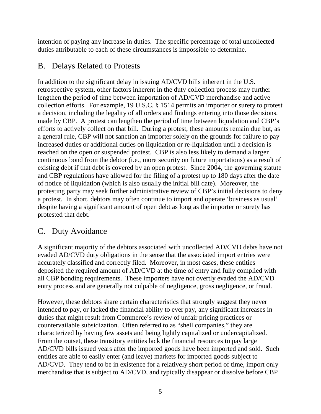intention of paying any increase in duties. The specific percentage of total uncollected duties attributable to each of these circumstances is impossible to determine.

#### B. Delays Related to Protests

In addition to the significant delay in issuing AD/CVD bills inherent in the U.S. retrospective system, other factors inherent in the duty collection process may further lengthen the period of time between importation of AD/CVD merchandise and active collection efforts. For example, 19 U.S.C. § 1514 permits an importer or surety to protest a decision, including the legality of all orders and findings entering into those decisions, made by CBP. A protest can lengthen the period of time between liquidation and CBP's efforts to actively collect on that bill. During a protest, these amounts remain due but, as a general rule, CBP will not sanction an importer solely on the grounds for failure to pay increased duties or additional duties on liquidation or re-liquidation until a decision is reached on the open or suspended protest. CBP is also less likely to demand a larger continuous bond from the debtor (i.e., more security on future importations) as a result of existing debt if that debt is covered by an open protest. Since 2004, the governing statute and CBP regulations have allowed for the filing of a protest up to 180 days after the date of notice of liquidation (which is also usually the initial bill date). Moreover, the protesting party may seek further administrative review of CBP's initial decisions to deny a protest. In short, debtors may often continue to import and operate 'business as usual' despite having a significant amount of open debt as long as the importer or surety has protested that debt.

#### C. Duty Avoidance

A significant majority of the debtors associated with uncollected AD/CVD debts have not evaded AD/CVD duty obligations in the sense that the associated import entries were accurately classified and correctly filed. Moreover, in most cases, these entities deposited the required amount of AD/CVD at the time of entry and fully complied with all CBP bonding requirements. These importers have not overtly evaded the AD/CVD entry process and are generally not culpable of negligence, gross negligence, or fraud.

However, these debtors share certain characteristics that strongly suggest they never intended to pay, or lacked the financial ability to ever pay, any significant increases in duties that might result from Commerce's review of unfair pricing practices or countervailable subsidization. Often referred to as "shell companies," they are characterized by having few assets and being lightly capitalized or undercapitalized. From the outset, these transitory entities lack the financial resources to pay large AD/CVD bills issued years after the imported goods have been imported and sold. Such entities are able to easily enter (and leave) markets for imported goods subject to AD/CVD. They tend to be in existence for a relatively short period of time, import only merchandise that is subject to AD/CVD, and typically disappear or dissolve before CBP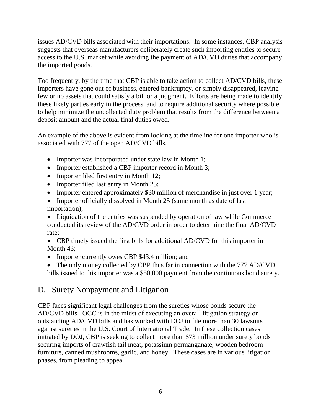issues AD/CVD bills associated with their importations. In some instances, CBP analysis suggests that overseas manufacturers deliberately create such importing entities to secure access to the U.S. market while avoiding the payment of AD/CVD duties that accompany the imported goods.

Too frequently, by the time that CBP is able to take action to collect AD/CVD bills, these importers have gone out of business, entered bankruptcy, or simply disappeared, leaving few or no assets that could satisfy a bill or a judgment. Efforts are being made to identify these likely parties early in the process, and to require additional security where possible to help minimize the uncollected duty problem that results from the difference between a deposit amount and the actual final duties owed.

An example of the above is evident from looking at the timeline for one importer who is associated with 777 of the open AD/CVD bills.

- Importer was incorporated under state law in Month 1;
- Importer established a CBP importer record in Month 3;
- Importer filed first entry in Month 12;
- Importer filed last entry in Month 25;
- Importer entered approximately \$30 million of merchandise in just over 1 year;
- Importer officially dissolved in Month 25 (same month as date of last importation);

• Liquidation of the entries was suspended by operation of law while Commerce conducted its review of the AD/CVD order in order to determine the final AD/CVD rate;

• CBP timely issued the first bills for additional AD/CVD for this importer in Month 43;

- Importer currently owes CBP \$43.4 million; and
- The only money collected by CBP thus far in connection with the 777 AD/CVD bills issued to this importer was a \$50,000 payment from the continuous bond surety.

#### D. Surety Nonpayment and Litigation

CBP faces significant legal challenges from the sureties whose bonds secure the AD/CVD bills. OCC is in the midst of executing an overall litigation strategy on outstanding AD/CVD bills and has worked with DOJ to file more than 30 lawsuits against sureties in the U.S. Court of International Trade. In these collection cases initiated by DOJ, CBP is seeking to collect more than \$73 million under surety bonds securing imports of crawfish tail meat, potassium permanganate, wooden bedroom furniture, canned mushrooms, garlic, and honey. These cases are in various litigation phases, from pleading to appeal.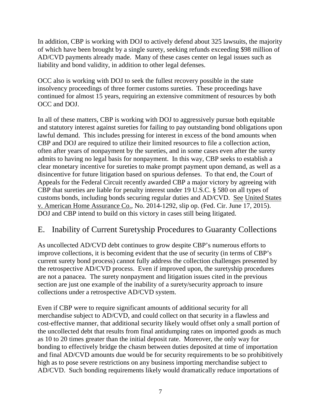In addition, CBP is working with DOJ to actively defend about 325 lawsuits, the majority of which have been brought by a single surety, seeking refunds exceeding \$98 million of AD/CVD payments already made. Many of these cases center on legal issues such as liability and bond validity, in addition to other legal defenses.

OCC also is working with DOJ to seek the fullest recovery possible in the state insolvency proceedings of three former customs sureties. These proceedings have continued for almost 15 years, requiring an extensive commitment of resources by both OCC and DOJ.

In all of these matters, CBP is working with DOJ to aggressively pursue both equitable and statutory interest against sureties for failing to pay outstanding bond obligations upon lawful demand. This includes pressing for interest in excess of the bond amounts when CBP and DOJ are required to utilize their limited resources to file a collection action, often after years of nonpayment by the sureties, and in some cases even after the surety admits to having no legal basis for nonpayment. In this way, CBP seeks to establish a clear monetary incentive for sureties to make prompt payment upon demand, as well as a disincentive for future litigation based on spurious defenses. To that end, the Court of Appeals for the Federal Circuit recently awarded CBP a major victory by agreeing with CBP that sureties are liable for penalty interest under 19 U.S.C. § 580 on all types of customs bonds, including bonds securing regular duties and AD/CVD. See United States v. American Home Assurance Co., No. 2014-1292, slip op. (Fed. Cir. June 17, 2015). DOJ and CBP intend to build on this victory in cases still being litigated.

#### E. Inability of Current Suretyship Procedures to Guaranty Collections

As uncollected AD/CVD debt continues to grow despite CBP's numerous efforts to improve collections, it is becoming evident that the use of security (in terms of CBP's current surety bond process) cannot fully address the collection challenges presented by the retrospective AD/CVD process. Even if improved upon, the suretyship procedures are not a panacea. The surety nonpayment and litigation issues cited in the previous section are just one example of the inability of a surety/security approach to insure collections under a retrospective AD/CVD system.

Even if CBP were to require significant amounts of additional security for all merchandise subject to AD/CVD, and could collect on that security in a flawless and cost-effective manner, that additional security likely would offset only a small portion of the uncollected debt that results from final antidumping rates on imported goods as much as 10 to 20 times greater than the initial deposit rate. Moreover, the only way for bonding to effectively bridge the chasm between duties deposited at time of importation and final AD/CVD amounts due would be for security requirements to be so prohibitively high as to pose severe restrictions on any business importing merchandise subject to AD/CVD. Such bonding requirements likely would dramatically reduce importations of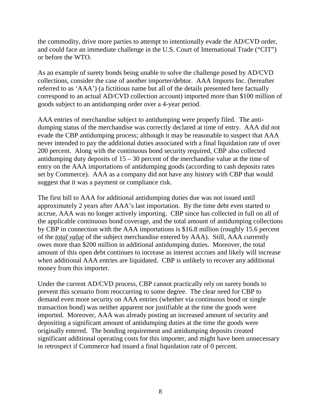the commodity, drive more parties to attempt to intentionally evade the AD/CVD order, and could face an immediate challenge in the U.S. Court of International Trade ("CIT") or before the WTO.

As an example of surety bonds being unable to solve the challenge posed by AD/CVD collections, consider the case of another importer/debtor. AAA Imports Inc. (hereafter referred to as 'AAA') (a fictitious name but all of the details presented here factually correspond to an actual AD/CVD collection account) imported more than \$100 million of goods subject to an antidumping order over a 4-year period.

AAA entries of merchandise subject to antidumping were properly filed. The antidumping status of the merchandise was correctly declared at time of entry. AAA did not evade the CBP antidumping process; although it may be reasonable to suspect that AAA never intended to pay the additional duties associated with a final liquidation rate of over 200 percent. Along with the continuous bond security required, CBP also collected antidumping duty deposits of  $15 - 30$  percent of the merchandise value at the time of entry on the AAA importations of antidumping goods (according to cash deposits rates set by Commerce). AAA as a company did not have any history with CBP that would suggest that it was a payment or compliance risk.

The first bill to AAA for additional antidumping duties due was not issued until approximately 2 years after AAA's last importation. By the time debt even started to accrue, AAA was no longer actively importing. CBP since has collected in full on all of the applicable continuous bond coverage, and the total amount of antidumping collections by CBP in connection with the AAA importations is \$16.8 million (roughly 15.6 percent of the *total value* of the subject merchandise entered by AAA). Still, AAA currently owes more than \$200 million in additional antidumping duties. Moreover, the total amount of this open debt continues to increase as interest accrues and likely will increase when additional AAA entries are liquidated. CBP is unlikely to recover any additional money from this importer.

Under the current AD/CVD process, CBP cannot practically rely on surety bonds to prevent this scenario from reoccurring to some degree. The clear need for CBP to demand even more security on AAA entries (whether via continuous bond or single transaction bond) was neither apparent nor justifiable at the time the goods were imported. Moreover, AAA was already posting an increased amount of security and depositing a significant amount of antidumping duties at the time the goods were originally entered. The bonding requirement and antidumping deposits created significant additional operating costs for this importer, and might have been unnecessary in retrospect if Commerce had issued a final liquidation rate of 0 percent.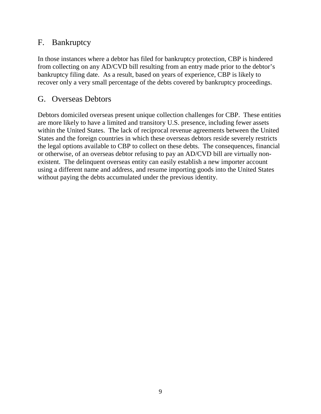#### F. Bankruptcy

In those instances where a debtor has filed for bankruptcy protection, CBP is hindered from collecting on any AD/CVD bill resulting from an entry made prior to the debtor's bankruptcy filing date. As a result, based on years of experience, CBP is likely to recover only a very small percentage of the debts covered by bankruptcy proceedings.

#### G. Overseas Debtors

Debtors domiciled overseas present unique collection challenges for CBP. These entities are more likely to have a limited and transitory U.S. presence, including fewer assets within the United States. The lack of reciprocal revenue agreements between the United States and the foreign countries in which these overseas debtors reside severely restricts the legal options available to CBP to collect on these debts. The consequences, financial or otherwise, of an overseas debtor refusing to pay an AD/CVD bill are virtually nonexistent. The delinquent overseas entity can easily establish a new importer account using a different name and address, and resume importing goods into the United States without paying the debts accumulated under the previous identity.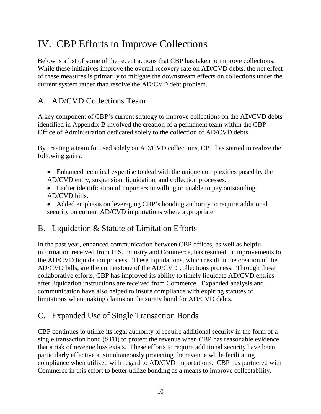# IV. CBP Efforts to Improve Collections

Below is a list of some of the recent actions that CBP has taken to improve collections. While these initiatives improve the overall recovery rate on AD/CVD debts, the net effect of these measures is primarily to mitigate the downstream effects on collections under the current system rather than resolve the AD/CVD debt problem.

#### A. AD/CVD Collections Team

A key component of CBP's current strategy to improve collections on the AD/CVD debts identified in Appendix B involved the creation of a permanent team within the CBP Office of Administration dedicated solely to the collection of AD/CVD debts.

By creating a team focused solely on AD/CVD collections, CBP has started to realize the following gains:

- Enhanced technical expertise to deal with the unique complexities posed by the AD/CVD entry, suspension, liquidation, and collection processes.
- Earlier identification of importers unwilling or unable to pay outstanding AD/CVD bills.
- Added emphasis on leveraging CBP's bonding authority to require additional security on current AD/CVD importations where appropriate.

#### B. Liquidation & Statute of Limitation Efforts

In the past year, enhanced communication between CBP offices, as well as helpful information received from U.S. industry and Commerce, has resulted in improvements to the AD/CVD liquidation process. These liquidations, which result in the creation of the AD/CVD bills, are the cornerstone of the AD/CVD collections process. Through these collaborative efforts, CBP has improved its ability to timely liquidate AD/CVD entries after liquidation instructions are received from Commerce. Expanded analysis and communication have also helped to insure compliance with expiring statutes of limitations when making claims on the surety bond for AD/CVD debts.

#### C. Expanded Use of Single Transaction Bonds

CBP continues to utilize its legal authority to require additional security in the form of a single transaction bond (STB) to protect the revenue when CBP has reasonable evidence that a risk of revenue loss exists. These efforts to require additional security have been particularly effective at simultaneously protecting the revenue while facilitating compliance when utilized with regard to AD/CVD importations. CBP has partnered with Commerce in this effort to better utilize bonding as a means to improve collectability.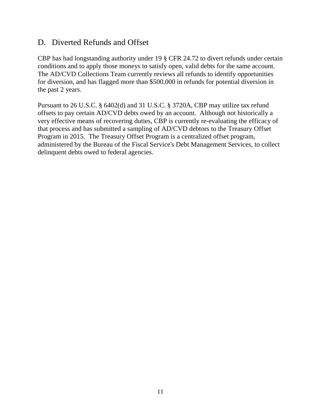#### D. Diverted Refunds and Offset

CBP has had longstanding authority under 19 § CFR 24.72 to divert refunds under certain conditions and to apply those moneys to satisfy open, valid debts for the same account. The AD/CVD Collections Team currently reviews all refunds to identify opportunities for diversion, and has flagged more than \$500,000 in refunds for potential diversion in the past 2 years.

Pursuant to 26 U.S.C. § 6402(d) and 31 U.S.C. § 3720A, CBP may utilize tax refund offsets to pay certain AD/CVD debts owed by an account. Although not historically a very effective means of recovering duties, CBP is currently re-evaluating the efficacy of that process and has submitted a sampling of AD/CVD debtors to the Treasury Offset Program in 2015. The Treasury Offset Program is a centralized offset program, administered by the Bureau of the Fiscal Service's Debt Management Services, to collect delinquent debts owed to federal agencies.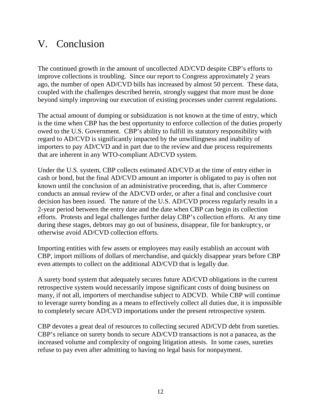### V. Conclusion

The continued growth in the amount of uncollected AD/CVD despite CBP's efforts to improve collections is troubling. Since our report to Congress approximately 2 years ago, the number of open AD/CVD bills has increased by almost 50 percent. These data, coupled with the challenges described herein, strongly suggest that more must be done beyond simply improving our execution of existing processes under current regulations.

The actual amount of dumping or subsidization is not known at the time of entry, which is the time when CBP has the best opportunity to enforce collection of the duties properly owed to the U.S. Government. CBP's ability to fulfill its statutory responsibility with regard to AD/CVD is significantly impacted by the unwillingness and inability of importers to pay AD/CVD and in part due to the review and due process requirements that are inherent in any WTO-compliant AD/CVD system.

Under the U.S. system, CBP collects estimated AD/CVD at the time of entry either in cash or bond, but the final AD/CVD amount an importer is obligated to pay is often not known until the conclusion of an administrative proceeding, that is, after Commerce conducts an annual review of the AD/CVD order, or after a final and conclusive court decision has been issued. The nature of the U.S. AD/CVD process regularly results in a 2-year period between the entry date and the date when CBP can begin its collection efforts. Protests and legal challenges further delay CBP's collection efforts. At any time during these stages, debtors may go out of business, disappear, file for bankruptcy, or otherwise avoid AD/CVD collection efforts.

Importing entities with few assets or employees may easily establish an account with CBP, import millions of dollars of merchandise, and quickly disappear years before CBP even attempts to collect on the additional AD/CVD that is legally due.

A surety bond system that adequately secures future AD/CVD obligations in the current retrospective system would necessarily impose significant costs of doing business on many, if not all, importers of merchandise subject to ADCVD. While CBP will continue to leverage surety bonding as a means to effectively collect all duties due, it is impossible to completely secure AD/CVD importations under the present retrospective system.

CBP devotes a great deal of resources to collecting secured AD/CVD debt from sureties. CBP's reliance on surety bonds to secure AD/CVD transactions is not a panacea, as the increased volume and complexity of ongoing litigation attests. In some cases, sureties refuse to pay even after admitting to having no legal basis for nonpayment.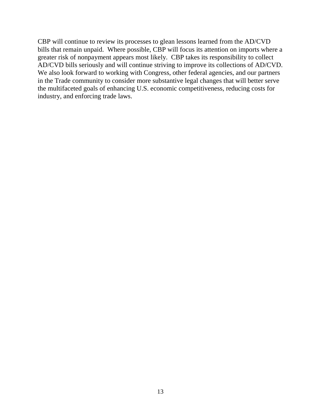CBP will continue to review its processes to glean lessons learned from the AD/CVD bills that remain unpaid. Where possible, CBP will focus its attention on imports where a greater risk of nonpayment appears most likely. CBP takes its responsibility to collect AD/CVD bills seriously and will continue striving to improve its collections of AD/CVD. We also look forward to working with Congress, other federal agencies, and our partners in the Trade community to consider more substantive legal changes that will better serve the multifaceted goals of enhancing U.S. economic competitiveness, reducing costs for industry, and enforcing trade laws.